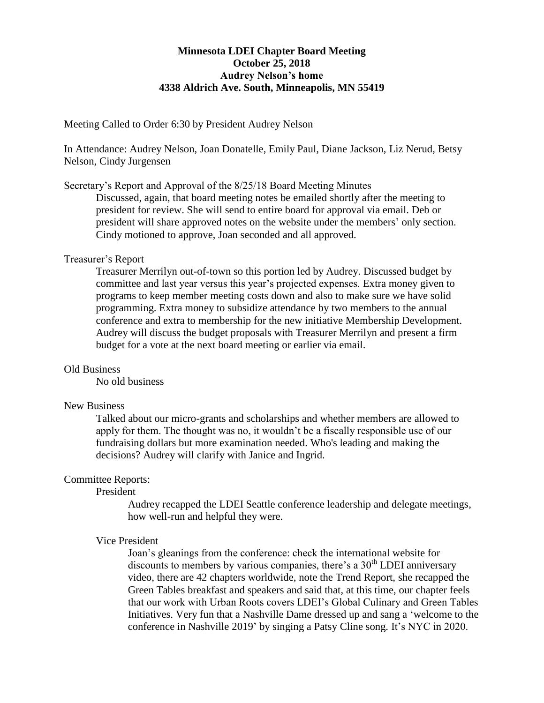# **Minnesota LDEI Chapter Board Meeting October 25, 2018 Audrey Nelson's home 4338 Aldrich Ave. South, Minneapolis, MN 55419**

Meeting Called to Order 6:30 by President Audrey Nelson

In Attendance: Audrey Nelson, Joan Donatelle, Emily Paul, Diane Jackson, Liz Nerud, Betsy Nelson, Cindy Jurgensen

Secretary's Report and Approval of the 8/25/18 Board Meeting Minutes

Discussed, again, that board meeting notes be emailed shortly after the meeting to president for review. She will send to entire board for approval via email. Deb or president will share approved notes on the website under the members' only section. Cindy motioned to approve, Joan seconded and all approved.

## Treasurer's Report

Treasurer Merrilyn out-of-town so this portion led by Audrey. Discussed budget by committee and last year versus this year's projected expenses. Extra money given to programs to keep member meeting costs down and also to make sure we have solid programming. Extra money to subsidize attendance by two members to the annual conference and extra to membership for the new initiative Membership Development. Audrey will discuss the budget proposals with Treasurer Merrilyn and present a firm budget for a vote at the next board meeting or earlier via email.

### Old Business

No old business

### New Business

Talked about our micro-grants and scholarships and whether members are allowed to apply for them. The thought was no, it wouldn't be a fiscally responsible use of our fundraising dollars but more examination needed. Who's leading and making the decisions? Audrey will clarify with Janice and Ingrid.

## Committee Reports:

President

Audrey recapped the LDEI Seattle conference leadership and delegate meetings, how well-run and helpful they were.

## Vice President

Joan's gleanings from the conference: check the international website for discounts to members by various companies, there's a  $30<sup>th</sup>$  LDEI anniversary video, there are 42 chapters worldwide, note the Trend Report, she recapped the Green Tables breakfast and speakers and said that, at this time, our chapter feels that our work with Urban Roots covers LDEI's Global Culinary and Green Tables Initiatives. Very fun that a Nashville Dame dressed up and sang a 'welcome to the conference in Nashville 2019' by singing a Patsy Cline song. It's NYC in 2020.